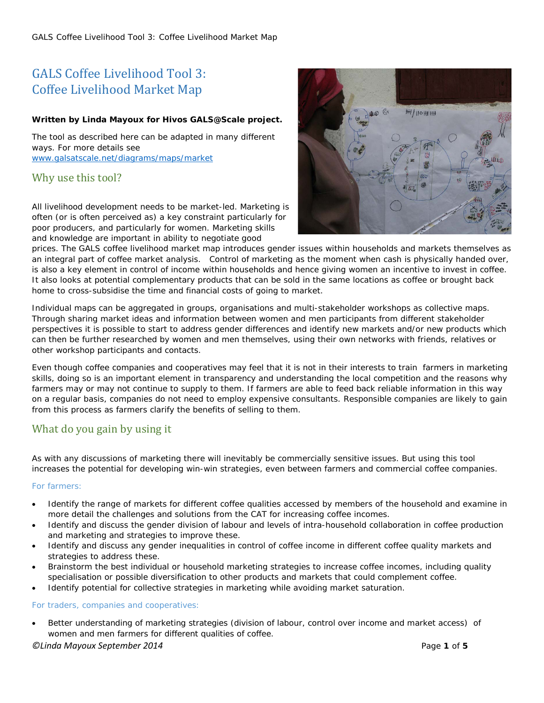# GALS Coffee Livelihood Tool 3: Coffee Livelihood Market Map

# *Written by Linda Mayoux for Hivos GALS@Scale project.*

The tool as described here can be adapted in many different ways. For more details see [www.galsatscale.net/diagrams/maps/market](http://www.galsatscale.net/diagrams/maps/market)

# Why use this tool?

All livelihood development needs to be market-led. Marketing is often (or is often perceived as) a key constraint particularly for poor producers, and particularly for women. Marketing skills and knowledge are important in ability to negotiate good



prices. The GALS coffee livelihood market map introduces gender issues within households and markets themselves as an integral part of coffee market analysis. Control of marketing as the moment when cash is physically handed over, is also a key element in control of income within households and hence giving women an incentive to invest in coffee. It also looks at potential complementary products that can be sold in the same locations as coffee or brought back home to cross-subsidise the time and financial costs of going to market.

Individual maps can be aggregated in groups, organisations and multi-stakeholder workshops as collective maps. Through sharing market ideas and information between women and men participants from different stakeholder perspectives it is possible to start to address gender differences and identify new markets and/or new products which can then be further researched by women and men themselves, using their own networks with friends, relatives or other workshop participants and contacts.

Even though coffee companies and cooperatives may feel that it is not in their interests to train farmers in marketing skills, doing so is an important element in transparency and understanding the local competition and the reasons why farmers may or may not continue to supply to them. If farmers are able to feed back reliable information in this way on a regular basis, companies do not need to employ expensive consultants. Responsible companies are likely to gain from this process as farmers clarify the benefits of selling to them.

# What do you gain by using it

As with any discussions of marketing there will inevitably be commercially sensitive issues. But using this tool increases the potential for developing win-win strategies, even between farmers and commercial coffee companies.

# *For farmers:*

- Identify the range of markets for different coffee qualities accessed by members of the household and examine in more detail the challenges and solutions from the CAT for increasing coffee incomes.
- Identify and discuss the gender division of labour and levels of intra-household collaboration in coffee production and marketing and strategies to improve these.
- Identify and discuss any gender inequalities in control of coffee income in different coffee quality markets and strategies to address these.
- Brainstorm the best individual or household marketing strategies to increase coffee incomes, including quality specialisation or possible diversification to other products and markets that could complement coffee.
- Identify potential for collective strategies in marketing while avoiding market saturation.

# *For traders, companies and cooperatives:*

• Better understanding of marketing strategies (division of labour, control over income and market access) of women and men farmers for different qualities of coffee.

# *©Linda Mayoux September 2014* Page **1** of **5**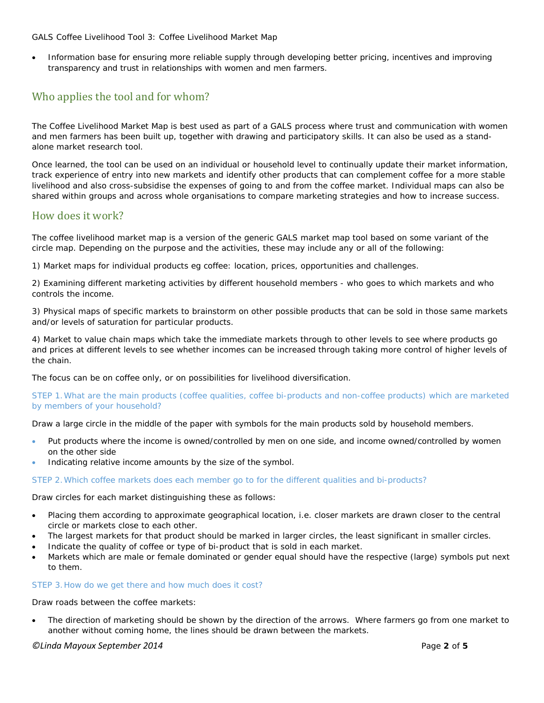#### *GALS Coffee Livelihood Tool 3: Coffee Livelihood Market Map*

• Information base for ensuring more reliable supply through developing better pricing, incentives and improving transparency and trust in relationships with women and men farmers.

# Who applies the tool and for whom?

The Coffee Livelihood Market Map is best used as part of a GALS process where trust and communication with women and men farmers has been built up, together with drawing and participatory skills. It can also be used as a standalone market research tool.

Once learned, the tool can be used on an individual or household level to continually update their market information, track experience of entry into new markets and identify other products that can complement coffee for a more stable livelihood and also cross-subsidise the expenses of going to and from the coffee market. Individual maps can also be shared within groups and across whole organisations to compare marketing strategies and how to increase success.

# How does it work?

The coffee livelihood market map is a version of the generic GALS market map tool based on some variant of the circle map. Depending on the purpose and the activities, these may include any or all of the following:

1) Market maps for individual products eg coffee: location, prices, opportunities and challenges.

2) Examining different marketing activities by different household members - who goes to which markets and who controls the income.

3) Physical maps of specific markets to brainstorm on other possible products that can be sold in those same markets and/or levels of saturation for particular products.

4) Market to value chain maps which take the immediate markets through to other levels to see where products go and prices at different levels to see whether incomes can be increased through taking more control of higher levels of the chain.

The focus can be on coffee only, or on possibilities for livelihood diversification.

#### *STEP 1.What are the main products (coffee qualities, coffee bi-products and non-coffee products) which are marketed by members of your household?*

Draw a large circle in the middle of the paper with symbols for the main products sold by household members.

- Put products where the income is owned/controlled by men on one side, and income owned/controlled by women on the other side
- Indicating relative income amounts by the size of the symbol.

#### *STEP 2.Which coffee markets does each member go to for the different qualities and bi-products?*

Draw circles for each market distinguishing these as follows:

- Placing them according to approximate geographical location, i.e. closer markets are drawn closer to the central circle or markets close to each other.
- The largest markets for that product should be marked in larger circles, the least significant in smaller circles.
- Indicate the quality of coffee or type of bi-product that is sold in each market.
- Markets which are male or female dominated or gender equal should have the respective (large) symbols put next to them.

#### *STEP 3.How do we get there and how much does it cost?*

Draw roads between the coffee markets:

The direction of marketing should be shown by the direction of the arrows. Where farmers go from one market to another without coming home, the lines should be drawn between the markets.

#### *©Linda Mayoux September 2014* Page **2** of **5**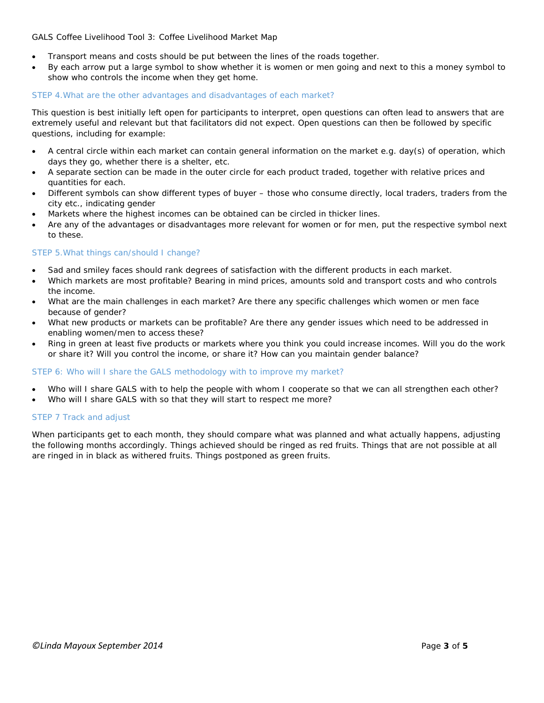### *GALS Coffee Livelihood Tool 3: Coffee Livelihood Market Map*

- Transport means and costs should be put between the lines of the roads together.
- By each arrow put a large symbol to show whether it is women or men going and next to this a money symbol to show who controls the income when they get home.

### *STEP 4.What are the other advantages and disadvantages of each market?*

This question is best initially left open for participants to interpret, open questions can often lead to answers that are extremely useful and relevant but that facilitators did not expect. Open questions can then be followed by specific questions, including for example:

- A central circle within each market can contain general information on the market e.g. day(s) of operation, which days they go, whether there is a shelter, etc.
- A separate section can be made in the outer circle for each product traded, together with relative prices and quantities for each.
- Different symbols can show different types of buyer those who consume directly, local traders, traders from the city etc., indicating gender
- Markets where the highest incomes can be obtained can be circled in thicker lines.
- Are any of the advantages or disadvantages more relevant for women or for men, put the respective symbol next to these.

#### *STEP 5.What things can/should I change?*

- Sad and smiley faces should rank degrees of satisfaction with the different products in each market.
- Which markets are most profitable? Bearing in mind prices, amounts sold and transport costs and who controls the income.
- What are the main challenges in each market? Are there any specific challenges which women or men face because of gender?
- What new products or markets can be profitable? Are there any gender issues which need to be addressed in enabling women/men to access these?
- Ring in green at least five products or markets where you think you could increase incomes. Will you do the work or share it? Will you control the income, or share it? How can you maintain gender balance?

#### *STEP 6: Who will I share the GALS methodology with to improve my market?*

- Who will I share GALS with to help the people with whom I cooperate so that we can all strengthen each other?
- Who will I share GALS with so that they will start to respect me more?

# *STEP 7 Track and adjust*

When participants get to each month, they should compare what was planned and what actually happens, adjusting the following months accordingly. Things achieved should be ringed as red fruits. Things that are not possible at all are ringed in in black as withered fruits. Things postponed as green fruits.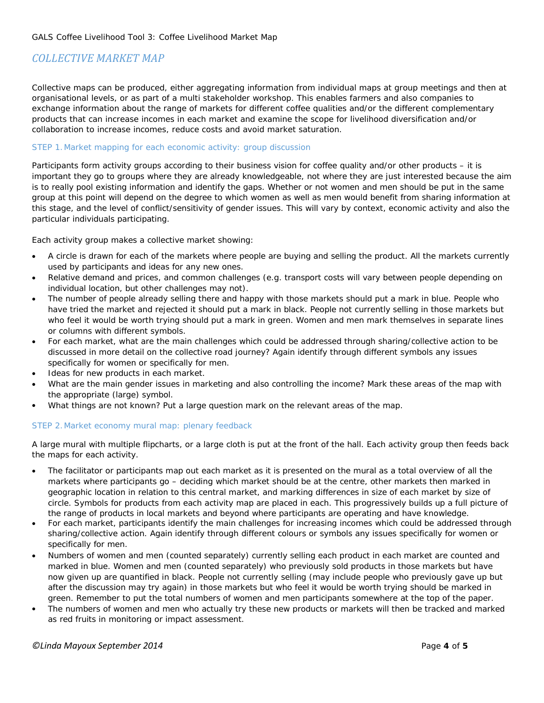# *COLLECTIVE MARKET MAP*

Collective maps can be produced, either aggregating information from individual maps at group meetings and then at organisational levels, or as part of a multi stakeholder workshop. This enables farmers and also companies to exchange information about the range of markets for different coffee qualities and/or the different complementary products that can increase incomes in each market and examine the scope for livelihood diversification and/or collaboration to increase incomes, reduce costs and avoid market saturation.

### *STEP 1.Market mapping for each economic activity: group discussion*

Participants form activity groups according to their business vision for coffee quality and/or other products – it is important they go to groups where they are already knowledgeable, not where they are just interested because the aim is to really pool existing information and identify the gaps. Whether or not women and men should be put in the same group at this point will depend on the degree to which women as well as men would benefit from sharing information at this stage, and the level of conflict/sensitivity of gender issues. This will vary by context, economic activity and also the particular individuals participating.

Each activity group makes a collective market showing:

- A circle is drawn for each of the markets where people are buying and selling the product. All the markets currently used by participants and ideas for any new ones.
- Relative demand and prices, and common challenges (e.g. transport costs will vary between people depending on individual location, but other challenges may not).
- The number of people already selling there and happy with those markets should put a mark in blue. People who have tried the market and rejected it should put a mark in black. People not currently selling in those markets but who feel it would be worth trying should put a mark in green. Women and men mark themselves in separate lines or columns with different symbols.
- For each market, what are the main challenges which could be addressed through sharing/collective action to be discussed in more detail on the collective road journey? Again identify through different symbols any issues specifically for women or specifically for men.
- Ideas for new products in each market.
- What are the main gender issues in marketing and also controlling the income? Mark these areas of the map with the appropriate (large) symbol.
- What things are not known? Put a large question mark on the relevant areas of the map.

#### *STEP 2.Market economy mural map: plenary feedback*

A large mural with multiple flipcharts, or a large cloth is put at the front of the hall. Each activity group then feeds back the maps for each activity.

- The facilitator or participants map out each market as it is presented on the mural as a total overview of all the markets where participants go – deciding which market should be at the centre, other markets then marked in geographic location in relation to this central market, and marking differences in size of each market by size of circle. Symbols for products from each activity map are placed in each. This progressively builds up a full picture of the range of products in local markets and beyond where participants are operating and have knowledge.
- For each market, participants identify the main challenges for increasing incomes which could be addressed through sharing/collective action. Again identify through different colours or symbols any issues specifically for women or specifically for men.
- Numbers of women and men (counted separately) currently selling each product in each market are counted and marked in blue. Women and men (counted separately) who previously sold products in those markets but have now given up are quantified in black. People not currently selling (may include people who previously gave up but after the discussion may try again) in those markets but who feel it would be worth trying should be marked in green. Remember to put the total numbers of women and men participants somewhere at the top of the paper.
- The numbers of women and men who actually try these new products or markets will then be tracked and marked as red fruits in monitoring or impact assessment.